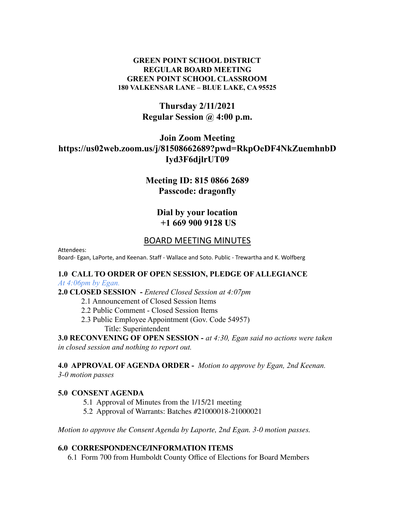#### **GREEN POINT SCHOOL DISTRICT REGULAR BOARD MEETING GREEN POINT SCHOOL CLASSROOM 180 VALKENSAR LANE – BLUE LAKE, CA 95525**

# **Thursday 2/11/2021 Regular Session @ 4:00 p.m.**

# **Join Zoom Meeting https://us02web.zoom.us/j/81508662689?pwd=RkpOeDF4NkZuemhnbD Iyd3F6djlrUT09**

# **Meeting ID: 815 0866 2689 Passcode: dragonfly**

## **Dial by your location +1 669 900 9128 US**

## BOARD MEETING MINUTES

Attendees: Board- Egan, LaPorte, and Keenan. Staff - Wallace and Soto. Public - Trewartha and K. Wolfberg

# **1.0 CALL TO ORDER OF OPEN SESSION, PLEDGE OF ALLEGIANCE**

#### *At 4:06pm by Egan.*

**2.0 CLOSED SESSION -** *Entered Closed Session at 4:07pm*

- 2.1 Announcement of Closed Session Items
- 2.2 Public Comment Closed Session Items
- 2.3 Public Employee Appointment (Gov. Code 54957)

Title: Superintendent

**3.0 RECONVENING OF OPEN SESSION -** *at 4:30, Egan said no actions were taken in closed session and nothing to report out.*

**4.0 APPROVAL OF AGENDA ORDER -** *Motion to approve by Egan, 2nd Keenan.*

*3-0 motion passes*

#### **5.0 CONSENT AGENDA**

- 5.1 Approval of Minutes from the 1/15/21 meeting
- 5.2 Approval of Warrants: Batches #21000018-21000021

*Motion to approve the Consent Agenda by Laporte, 2nd Egan. 3-0 motion passes.*

#### **6.0 CORRESPONDENCE/INFORMATION ITEMS**

6.1 Form 700 from Humboldt County Office of Elections for Board Members